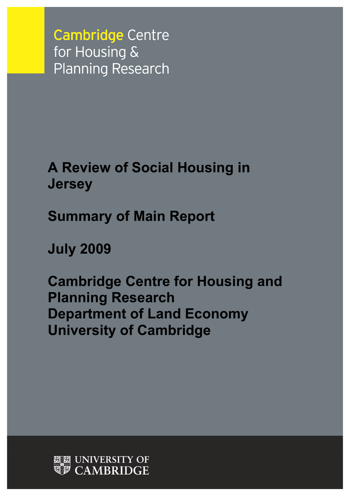**Cambridge Centre** for Housing & **Planning Research** 

**A Review of Social Housing in Jersey**

**Summary of Main Report**

**July 2009**

**Cambridge Centre for Housing and Planning Research Department of Land Economy University of Cambridge**

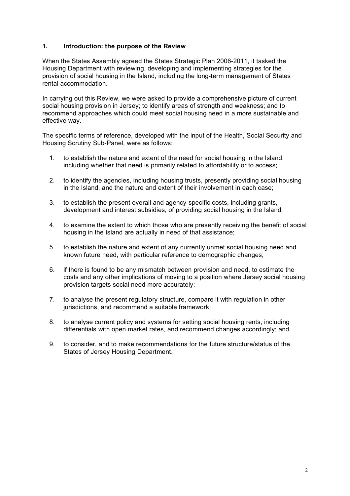### **1. Introduction: the purpose of the Review**

When the States Assembly agreed the States Strategic Plan 2006-2011, it tasked the Housing Department with reviewing, developing and implementing strategies for the provision of social housing in the Island, including the long-term management of States rental accommodation.

In carrying out this Review, we were asked to provide a comprehensive picture of current social housing provision in Jersey; to identify areas of strength and weakness; and to recommend approaches which could meet social housing need in a more sustainable and effective way.

The specific terms of reference, developed with the input of the Health, Social Security and Housing Scrutiny Sub-Panel, were as follows:

- 1. to establish the nature and extent of the need for social housing in the Island, including whether that need is primarily related to affordability or to access;
- 2. to identify the agencies, including housing trusts, presently providing social housing in the Island, and the nature and extent of their involvement in each case;
- 3. to establish the present overall and agency-specific costs, including grants, development and interest subsidies, of providing social housing in the Island;
- 4. to examine the extent to which those who are presently receiving the benefit of social housing in the Island are actually in need of that assistance;
- 5. to establish the nature and extent of any currently unmet social housing need and known future need, with particular reference to demographic changes;
- 6. if there is found to be any mismatch between provision and need, to estimate the costs and any other implications of moving to a position where Jersey social housing provision targets social need more accurately;
- 7. to analyse the present regulatory structure, compare it with regulation in other jurisdictions, and recommend a suitable framework;
- 8. to analyse current policy and systems for setting social housing rents, including differentials with open market rates, and recommend changes accordingly; and
- 9. to consider, and to make recommendations for the future structure/status of the States of Jersey Housing Department.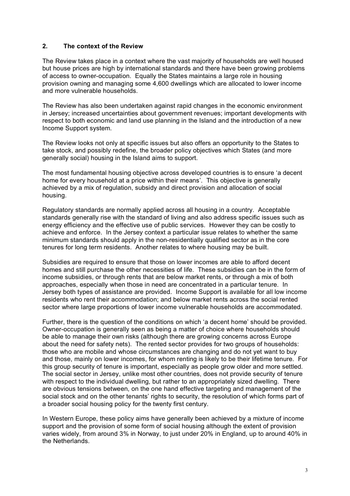### **2. The context of the Review**

The Review takes place in a context where the vast majority of households are well housed but house prices are high by international standards and there have been growing problems of access to owner-occupation. Equally the States maintains a large role in housing provision owning and managing some 4,600 dwellings which are allocated to lower income and more vulnerable households.

The Review has also been undertaken against rapid changes in the economic environment in Jersey; increased uncertainties about government revenues; important developments with respect to both economic and land use planning in the Island and the introduction of a new Income Support system.

The Review looks not only at specific issues but also offers an opportunity to the States to take stock, and possibly redefine, the broader policy objectives which States (and more generally social) housing in the Island aims to support.

The most fundamental housing objective across developed countries is to ensure 'a decent home for every household at a price within their means'. This objective is generally achieved by a mix of regulation, subsidy and direct provision and allocation of social housing.

Regulatory standards are normally applied across all housing in a country. Acceptable standards generally rise with the standard of living and also address specific issues such as energy efficiency and the effective use of public services. However they can be costly to achieve and enforce. In the Jersey context a particular issue relates to whether the same minimum standards should apply in the non-residentially qualified sector as in the core tenures for long term residents. Another relates to where housing may be built.

Subsidies are required to ensure that those on lower incomes are able to afford decent homes and still purchase the other necessities of life. These subsidies can be in the form of income subsidies, or through rents that are below market rents, or through a mix of both approaches, especially when those in need are concentrated in a particular tenure. In Jersey both types of assistance are provided. Income Support is available for all low income residents who rent their accommodation; and below market rents across the social rented sector where large proportions of lower income vulnerable households are accommodated.

Further, there is the question of the conditions on which 'a decent home' should be provided. Owner-occupation is generally seen as being a matter of choice where households should be able to manage their own risks (although there are growing concerns across Europe about the need for safety nets). The rented sector provides for two groups of households: those who are mobile and whose circumstances are changing and do not yet want to buy and those, mainly on lower incomes, for whom renting is likely to be their lifetime tenure. For this group security of tenure is important, especially as people grow older and more settled. The social sector in Jersey, unlike most other countries, does not provide security of tenure with respect to the individual dwelling, but rather to an appropriately sized dwelling. There are obvious tensions between, on the one hand effective targeting and management of the social stock and on the other tenants' rights to security, the resolution of which forms part of a broader social housing policy for the twenty first century.

In Western Europe, these policy aims have generally been achieved by a mixture of income support and the provision of some form of social housing although the extent of provision varies widely, from around 3% in Norway, to just under 20% in England, up to around 40% in the Netherlands.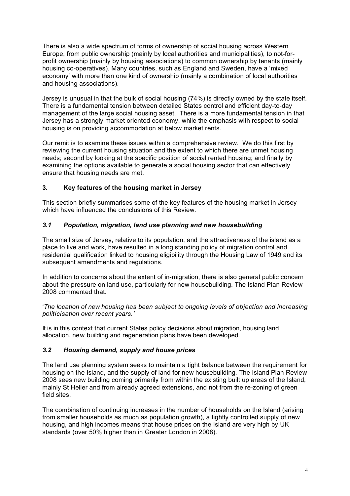There is also a wide spectrum of forms of ownership of social housing across Western Europe, from public ownership (mainly by local authorities and municipalities), to not-forprofit ownership (mainly by housing associations) to common ownership by tenants (mainly housing co-operatives). Many countries, such as England and Sweden, have a 'mixed economy' with more than one kind of ownership (mainly a combination of local authorities and housing associations).

Jersey is unusual in that the bulk of social housing (74%) is directly owned by the state itself. There is a fundamental tension between detailed States control and efficient day-to-day management of the large social housing asset. There is a more fundamental tension in that Jersey has a strongly market oriented economy, while the emphasis with respect to social housing is on providing accommodation at below market rents.

Our remit is to examine these issues within a comprehensive review. We do this first by reviewing the current housing situation and the extent to which there are unmet housing needs; second by looking at the specific position of social rented housing; and finally by examining the options available to generate a social housing sector that can effectively ensure that housing needs are met.

# **3. Key features of the housing market in Jersey**

This section briefly summarises some of the key features of the housing market in Jersey which have influenced the conclusions of this Review.

# *3.1 Population, migration, land use planning and new housebuilding*

The small size of Jersey, relative to its population, and the attractiveness of the island as a place to live and work, have resulted in a long standing policy of migration control and residential qualification linked to housing eligibility through the Housing Law of 1949 and its subsequent amendments and regulations.

In addition to concerns about the extent of in-migration, there is also general public concern about the pressure on land use, particularly for new housebuilding. The Island Plan Review 2008 commented that:

'*The location of new housing has been subject to ongoing levels of objection and increasing politicisation over recent years.'*

It is in this context that current States policy decisions about migration, housing land allocation, new building and regeneration plans have been developed.

### *3.2 Housing demand, supply and house prices*

The land use planning system seeks to maintain a tight balance between the requirement for housing on the Island, and the supply of land for new housebuilding. The Island Plan Review 2008 sees new building coming primarily from within the existing built up areas of the Island, mainly St Helier and from already agreed extensions, and not from the re-zoning of green field sites.

The combination of continuing increases in the number of households on the Island (arising from smaller households as much as population growth), a tightly controlled supply of new housing, and high incomes means that house prices on the Island are very high by UK standards (over 50% higher than in Greater London in 2008).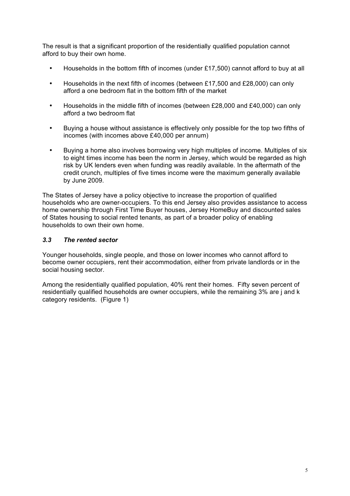The result is that a significant proportion of the residentially qualified population cannot afford to buy their own home.

- Households in the bottom fifth of incomes (under £17,500) cannot afford to buy at all
- Households in the next fifth of incomes (between £17,500 and £28,000) can only afford a one bedroom flat in the bottom fifth of the market
- Households in the middle fifth of incomes (between £28,000 and £40,000) can only afford a two bedroom flat
- Buying a house without assistance is effectively only possible for the top two fifths of incomes (with incomes above £40,000 per annum)
- Buying a home also involves borrowing very high multiples of income. Multiples of six to eight times income has been the norm in Jersey, which would be regarded as high risk by UK lenders even when funding was readily available. In the aftermath of the credit crunch, multiples of five times income were the maximum generally available by June 2009.

The States of Jersey have a policy objective to increase the proportion of qualified households who are owner-occupiers. To this end Jersey also provides assistance to access home ownership through First Time Buyer houses, Jersey HomeBuy and discounted sales of States housing to social rented tenants, as part of a broader policy of enabling households to own their own home.

# *3.3 The rented sector*

Younger households, single people, and those on lower incomes who cannot afford to become owner occupiers, rent their accommodation, either from private landlords or in the social housing sector.

Among the residentially qualified population, 40% rent their homes. Fifty seven percent of residentially qualified households are owner occupiers, while the remaining 3% are j and k category residents. (Figure 1)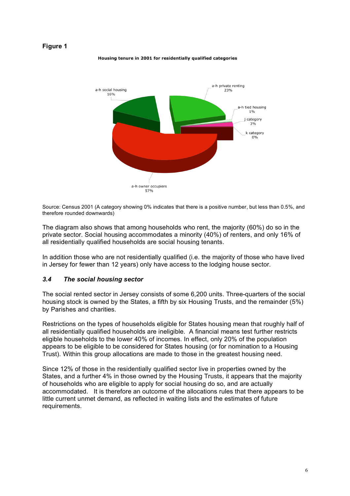#### **Figure 1**

Housing tenure in 2001 for residentially qualified categories



Source: Census 2001 (A category showing 0% indicates that there is a positive number, but less than 0.5%, and therefore rounded downwards)

The diagram also shows that among households who rent, the majority (60%) do so in the private sector. Social housing accommodates a minority (40%) of renters, and only 16% of all residentially qualified households are social housing tenants.

In addition those who are not residentially qualified (i.e. the majority of those who have lived in Jersey for fewer than 12 years) only have access to the lodging house sector.

#### *3.4 The social housing sector*

The social rented sector in Jersey consists of some 6,200 units. Three-quarters of the social housing stock is owned by the States, a fifth by six Housing Trusts, and the remainder (5%) by Parishes and charities.

Restrictions on the types of households eligible for States housing mean that roughly half of all residentially qualified households are ineligible. A financial means test further restricts eligible households to the lower 40% of incomes. In effect, only 20% of the population appears to be eligible to be considered for States housing (or for nomination to a Housing Trust). Within this group allocations are made to those in the greatest housing need.

Since 12% of those in the residentially qualified sector live in properties owned by the States, and a further 4% in those owned by the Housing Trusts, it appears that the majority of households who are eligible to apply for social housing do so, and are actually accommodated. It is therefore an outcome of the allocations rules that there appears to be little current unmet demand, as reflected in waiting lists and the estimates of future requirements.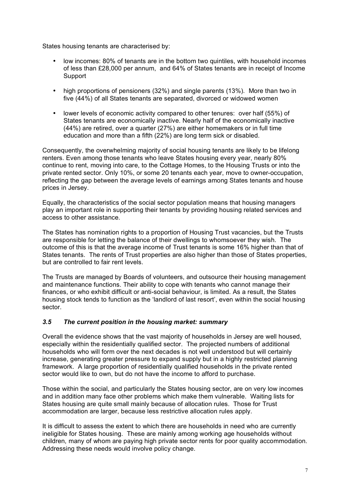States housing tenants are characterised by:

- low incomes: 80% of tenants are in the bottom two quintiles, with household incomes of less than £28,000 per annum, and 64% of States tenants are in receipt of Income Support
- high proportions of pensioners (32%) and single parents (13%). More than two in five (44%) of all States tenants are separated, divorced or widowed women
- lower levels of economic activity compared to other tenures: over half (55%) of States tenants are economically inactive. Nearly half of the economically inactive (44%) are retired, over a quarter (27%) are either homemakers or in full time education and more than a fifth (22%) are long term sick or disabled.

Consequently, the overwhelming majority of social housing tenants are likely to be lifelong renters. Even among those tenants who leave States housing every year, nearly 80% continue to rent, moving into care, to the Cottage Homes, to the Housing Trusts or into the private rented sector. Only 10%, or some 20 tenants each year, move to owner-occupation, reflecting the gap between the average levels of earnings among States tenants and house prices in Jersey.

Equally, the characteristics of the social sector population means that housing managers play an important role in supporting their tenants by providing housing related services and access to other assistance.

The States has nomination rights to a proportion of Housing Trust vacancies, but the Trusts are responsible for letting the balance of their dwellings to whomsoever they wish. The outcome of this is that the average income of Trust tenants is some 16% higher than that of States tenants. The rents of Trust properties are also higher than those of States properties, but are controlled to fair rent levels.

The Trusts are managed by Boards of volunteers, and outsource their housing management and maintenance functions. Their ability to cope with tenants who cannot manage their finances, or who exhibit difficult or anti-social behaviour, is limited. As a result, the States housing stock tends to function as the 'landlord of last resort', even within the social housing sector.

### *3.5 The current position in the housing market: summary*

Overall the evidence shows that the vast majority of households in Jersey are well housed, especially within the residentially qualified sector. The projected numbers of additional households who will form over the next decades is not well understood but will certainly increase, generating greater pressure to expand supply but in a highly restricted planning framework. A large proportion of residentially qualified households in the private rented sector would like to own, but do not have the income to afford to purchase.

Those within the social, and particularly the States housing sector, are on very low incomes and in addition many face other problems which make them vulnerable. Waiting lists for States housing are quite small mainly because of allocation rules. Those for Trust accommodation are larger, because less restrictive allocation rules apply.

It is difficult to assess the extent to which there are households in need who are currently ineligible for States housing. These are mainly among working age households without children, many of whom are paying high private sector rents for poor quality accommodation. Addressing these needs would involve policy change.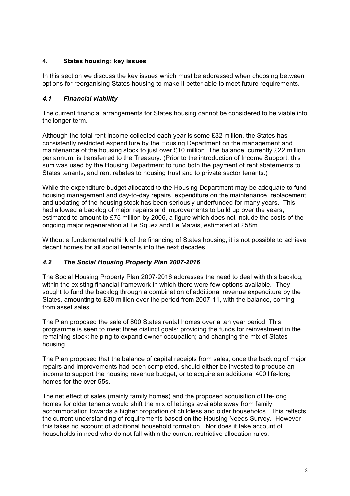# **4. States housing: key issues**

In this section we discuss the key issues which must be addressed when choosing between options for reorganising States housing to make it better able to meet future requirements.

# *4.1 Financial viability*

The current financial arrangements for States housing cannot be considered to be viable into the longer term.

Although the total rent income collected each year is some £32 million, the States has consistently restricted expenditure by the Housing Department on the management and maintenance of the housing stock to just over £10 million. The balance, currently £22 million per annum, is transferred to the Treasury. (Prior to the introduction of Income Support, this sum was used by the Housing Department to fund both the payment of rent abatements to States tenants, and rent rebates to housing trust and to private sector tenants.)

While the expenditure budget allocated to the Housing Department may be adequate to fund housing management and day-to-day repairs, expenditure on the maintenance, replacement and updating of the housing stock has been seriously underfunded for many years. This had allowed a backlog of major repairs and improvements to build up over the years, estimated to amount to £75 million by 2006, a figure which does not include the costs of the ongoing major regeneration at Le Squez and Le Marais, estimated at £58m.

Without a fundamental rethink of the financing of States housing, it is not possible to achieve decent homes for all social tenants into the next decades.

### *4.2 The Social Housing Property Plan 2007-2016*

The Social Housing Property Plan 2007-2016 addresses the need to deal with this backlog, within the existing financial framework in which there were few options available. They sought to fund the backlog through a combination of additional revenue expenditure by the States, amounting to £30 million over the period from 2007-11, with the balance, coming from asset sales.

The Plan proposed the sale of 800 States rental homes over a ten year period. This programme is seen to meet three distinct goals: providing the funds for reinvestment in the remaining stock; helping to expand owner-occupation; and changing the mix of States housing.

The Plan proposed that the balance of capital receipts from sales, once the backlog of major repairs and improvements had been completed, should either be invested to produce an income to support the housing revenue budget, or to acquire an additional 400 life-long homes for the over 55s.

The net effect of sales (mainly family homes) and the proposed acquisition of life-long homes for older tenants would shift the mix of lettings available away from family accommodation towards a higher proportion of childless and older households. This reflects the current understanding of requirements based on the Housing Needs Survey. However this takes no account of additional household formation. Nor does it take account of households in need who do not fall within the current restrictive allocation rules.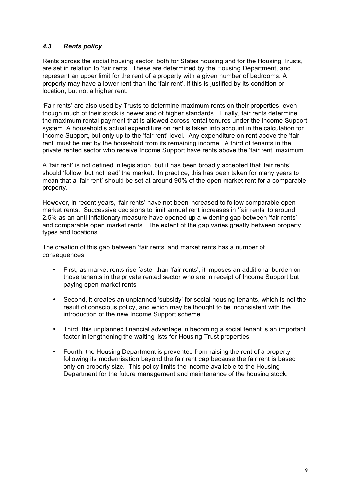# *4.3 Rents policy*

Rents across the social housing sector, both for States housing and for the Housing Trusts, are set in relation to 'fair rents'. These are determined by the Housing Department, and represent an upper limit for the rent of a property with a given number of bedrooms. A property may have a lower rent than the 'fair rent', if this is justified by its condition or location, but not a higher rent.

'Fair rents' are also used by Trusts to determine maximum rents on their properties, even though much of their stock is newer and of higher standards. Finally, fair rents determine the maximum rental payment that is allowed across rental tenures under the Income Support system. A household's actual expenditure on rent is taken into account in the calculation for Income Support, but only up to the 'fair rent' level. Any expenditure on rent above the 'fair rent' must be met by the household from its remaining income. A third of tenants in the private rented sector who receive Income Support have rents above the 'fair rent' maximum.

A 'fair rent' is not defined in legislation, but it has been broadly accepted that 'fair rents' should 'follow, but not lead' the market. In practice, this has been taken for many years to mean that a 'fair rent' should be set at around 90% of the open market rent for a comparable property.

However, in recent years, 'fair rents' have not been increased to follow comparable open market rents. Successive decisions to limit annual rent increases in 'fair rents' to around 2.5% as an anti-inflationary measure have opened up a widening gap between 'fair rents' and comparable open market rents. The extent of the gap varies greatly between property types and locations.

The creation of this gap between 'fair rents' and market rents has a number of consequences:

- First, as market rents rise faster than 'fair rents', it imposes an additional burden on those tenants in the private rented sector who are in receipt of Income Support but paying open market rents
- Second, it creates an unplanned 'subsidy' for social housing tenants, which is not the result of conscious policy, and which may be thought to be inconsistent with the introduction of the new Income Support scheme
- Third, this unplanned financial advantage in becoming a social tenant is an important factor in lengthening the waiting lists for Housing Trust properties
- Fourth, the Housing Department is prevented from raising the rent of a property following its modernisation beyond the fair rent cap because the fair rent is based only on property size. This policy limits the income available to the Housing Department for the future management and maintenance of the housing stock.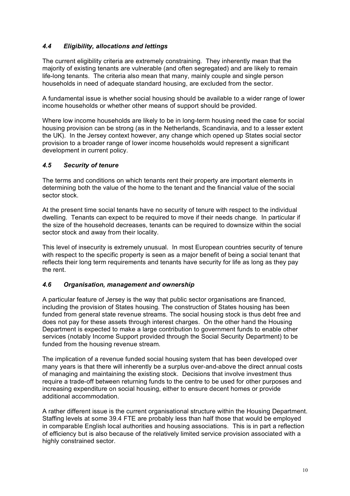# *4.4 Eligibility, allocations and lettings*

The current eligibility criteria are extremely constraining. They inherently mean that the majority of existing tenants are vulnerable (and often segregated) and are likely to remain life-long tenants. The criteria also mean that many, mainly couple and single person households in need of adequate standard housing, are excluded from the sector.

A fundamental issue is whether social housing should be available to a wider range of lower income households or whether other means of support should be provided.

Where low income households are likely to be in long-term housing need the case for social housing provision can be strong (as in the Netherlands, Scandinavia, and to a lesser extent the UK). In the Jersey context however, any change which opened up States social sector provision to a broader range of lower income households would represent a significant development in current policy.

### *4.5 Security of tenure*

The terms and conditions on which tenants rent their property are important elements in determining both the value of the home to the tenant and the financial value of the social sector stock.

At the present time social tenants have no security of tenure with respect to the individual dwelling. Tenants can expect to be required to move if their needs change. In particular if the size of the household decreases, tenants can be required to downsize within the social sector stock and away from their locality.

This level of insecurity is extremely unusual. In most European countries security of tenure with respect to the specific property is seen as a major benefit of being a social tenant that reflects their long term requirements and tenants have security for life as long as they pay the rent.

### *4.6 Organisation, management and ownership*

A particular feature of Jersey is the way that public sector organisations are financed, including the provision of States housing. The construction of States housing has been funded from general state revenue streams. The social housing stock is thus debt free and does not pay for these assets through interest charges. On the other hand the Housing Department is expected to make a large contribution to government funds to enable other services (notably Income Support provided through the Social Security Department) to be funded from the housing revenue stream.

The implication of a revenue funded social housing system that has been developed over many years is that there will inherently be a surplus over-and-above the direct annual costs of managing and maintaining the existing stock. Decisions that involve investment thus require a trade-off between returning funds to the centre to be used for other purposes and increasing expenditure on social housing, either to ensure decent homes or provide additional accommodation.

A rather different issue is the current organisational structure within the Housing Department. Staffing levels at some 39.4 FTE are probably less than half those that would be employed in comparable English local authorities and housing associations. This is in part a reflection of efficiency but is also because of the relatively limited service provision associated with a highly constrained sector.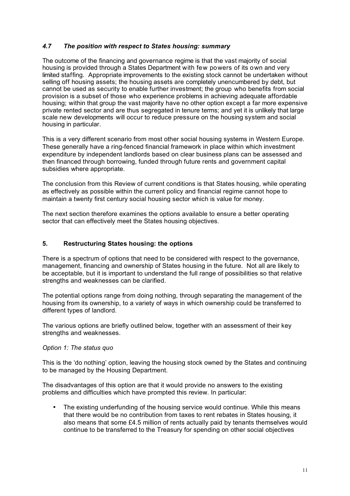### *4.7 The position with respect to States housing: summary*

The outcome of the financing and governance regime is that the vast majority of social housing is provided through a States Department with few powers of its own and very limited staffing. Appropriate improvements to the existing stock cannot be undertaken without selling off housing assets; the housing assets are completely unencumbered by debt, but cannot be used as security to enable further investment; the group who benefits from social provision is a subset of those who experience problems in achieving adequate affordable housing; within that group the vast majority have no other option except a far more expensive private rented sector and are thus segregated in tenure terms; and yet it is unlikely that large scale new developments will occur to reduce pressure on the housing system and social housing in particular.

This is a very different scenario from most other social housing systems in Western Europe. These generally have a ring-fenced financial framework in place within which investment expenditure by independent landlords based on clear business plans can be assessed and then financed through borrowing, funded through future rents and government capital subsidies where appropriate.

The conclusion from this Review of current conditions is that States housing, while operating as effectively as possible within the current policy and financial regime cannot hope to maintain a twenty first century social housing sector which is value for money.

The next section therefore examines the options available to ensure a better operating sector that can effectively meet the States housing objectives.

### **5. Restructuring States housing: the options**

There is a spectrum of options that need to be considered with respect to the governance, management, financing and ownership of States housing in the future. Not all are likely to be acceptable, but it is important to understand the full range of possibilities so that relative strengths and weaknesses can be clarified.

The potential options range from doing nothing, through separating the management of the housing from its ownership, to a variety of ways in which ownership could be transferred to different types of landlord.

The various options are briefly outlined below, together with an assessment of their key strengths and weaknesses.

#### *Option 1: The status quo*

This is the 'do nothing' option, leaving the housing stock owned by the States and continuing to be managed by the Housing Department.

The disadvantages of this option are that it would provide no answers to the existing problems and difficulties which have prompted this review. In particular:

• The existing underfunding of the housing service would continue. While this means that there would be no contribution from taxes to rent rebates in States housing, it also means that some £4.5 million of rents actually paid by tenants themselves would continue to be transferred to the Treasury for spending on other social objectives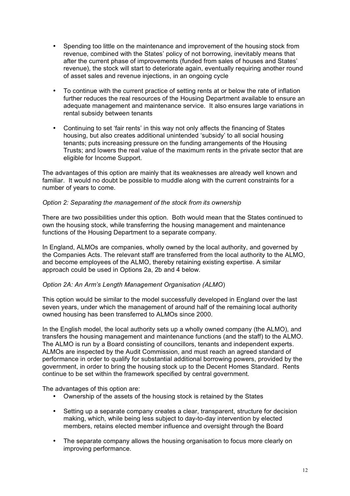- Spending too little on the maintenance and improvement of the housing stock from revenue, combined with the States' policy of not borrowing, inevitably means that after the current phase of improvements (funded from sales of houses and States' revenue), the stock will start to deteriorate again, eventually requiring another round of asset sales and revenue injections, in an ongoing cycle
- To continue with the current practice of setting rents at or below the rate of inflation further reduces the real resources of the Housing Department available to ensure an adequate management and maintenance service. It also ensures large variations in rental subsidy between tenants
- Continuing to set 'fair rents' in this way not only affects the financing of States housing, but also creates additional unintended 'subsidy' to all social housing tenants; puts increasing pressure on the funding arrangements of the Housing Trusts; and lowers the real value of the maximum rents in the private sector that are eligible for Income Support.

The advantages of this option are mainly that its weaknesses are already well known and familiar. It would no doubt be possible to muddle along with the current constraints for a number of years to come.

### *Option 2: Separating the management of the stock from its ownership*

There are two possibilities under this option. Both would mean that the States continued to own the housing stock, while transferring the housing management and maintenance functions of the Housing Department to a separate company.

In England, ALMOs are companies, wholly owned by the local authority, and governed by the Companies Acts. The relevant staff are transferred from the local authority to the ALMO, and become employees of the ALMO, thereby retaining existing expertise. A similar approach could be used in Options 2a, 2b and 4 below.

### *Option 2A: An Arm's Length Management Organisation (ALMO*)

This option would be similar to the model successfully developed in England over the last seven years, under which the management of around half of the remaining local authority owned housing has been transferred to ALMOs since 2000.

In the English model, the local authority sets up a wholly owned company (the ALMO), and transfers the housing management and maintenance functions (and the staff) to the ALMO. The ALMO is run by a Board consisting of councillors, tenants and independent experts. ALMOs are inspected by the Audit Commission, and must reach an agreed standard of performance in order to qualify for substantial additional borrowing powers, provided by the government, in order to bring the housing stock up to the Decent Homes Standard. Rents continue to be set within the framework specified by central government.

The advantages of this option are:

- Ownership of the assets of the housing stock is retained by the States
- Setting up a separate company creates a clear, transparent, structure for decision making, which, while being less subject to day-to-day intervention by elected members, retains elected member influence and oversight through the Board
- The separate company allows the housing organisation to focus more clearly on improving performance.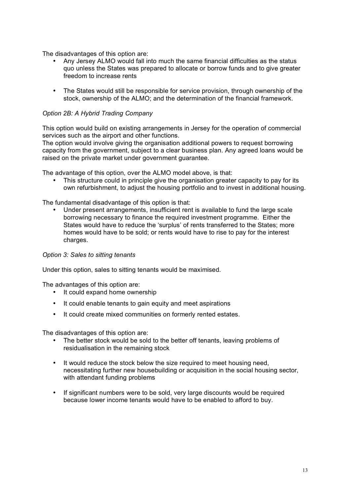The disadvantages of this option are:

- Any Jersey ALMO would fall into much the same financial difficulties as the status quo unless the States was prepared to allocate or borrow funds and to give greater freedom to increase rents
- The States would still be responsible for service provision, through ownership of the stock, ownership of the ALMO; and the determination of the financial framework.

# *Option 2B: A Hybrid Trading Company*

This option would build on existing arrangements in Jersey for the operation of commercial services such as the airport and other functions.

The option would involve giving the organisation additional powers to request borrowing capacity from the government, subject to a clear business plan. Any agreed loans would be raised on the private market under government guarantee.

The advantage of this option, over the ALMO model above, is that:

This structure could in principle give the organisation greater capacity to pay for its own refurbishment, to adjust the housing portfolio and to invest in additional housing.

The fundamental disadvantage of this option is that:

• Under present arrangements, insufficient rent is available to fund the large scale borrowing necessary to finance the required investment programme. Either the States would have to reduce the 'surplus' of rents transferred to the States; more homes would have to be sold; or rents would have to rise to pay for the interest charges.

#### *Option 3: Sales to sitting tenants*

Under this option, sales to sitting tenants would be maximised.

The advantages of this option are:

- It could expand home ownership
- It could enable tenants to gain equity and meet aspirations
- It could create mixed communities on formerly rented estates.

The disadvantages of this option are:

- The better stock would be sold to the better off tenants, leaving problems of residualisation in the remaining stock
- It would reduce the stock below the size required to meet housing need, necessitating further new housebuilding or acquisition in the social housing sector, with attendant funding problems
- If significant numbers were to be sold, very large discounts would be required because lower income tenants would have to be enabled to afford to buy.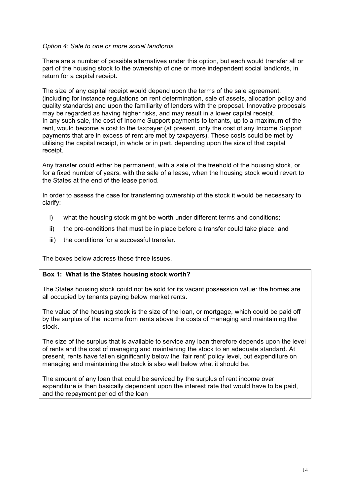#### *Option 4: Sale to one or more social landlords*

There are a number of possible alternatives under this option, but each would transfer all or part of the housing stock to the ownership of one or more independent social landlords, in return for a capital receipt.

The size of any capital receipt would depend upon the terms of the sale agreement, (including for instance regulations on rent determination, sale of assets, allocation policy and quality standards) and upon the familiarity of lenders with the proposal. Innovative proposals may be regarded as having higher risks, and may result in a lower capital receipt. In any such sale, the cost of Income Support payments to tenants, up to a maximum of the rent, would become a cost to the taxpayer (at present, only the cost of any Income Support payments that are in excess of rent are met by taxpayers). These costs could be met by utilising the capital receipt, in whole or in part, depending upon the size of that capital receipt.

Any transfer could either be permanent, with a sale of the freehold of the housing stock, or for a fixed number of years, with the sale of a lease, when the housing stock would revert to the States at the end of the lease period.

In order to assess the case for transferring ownership of the stock it would be necessary to clarify:

- i) what the housing stock might be worth under different terms and conditions;
- ii) the pre-conditions that must be in place before a transfer could take place; and
- iii) the conditions for a successful transfer.

The boxes below address these three issues.

# **Box 1: What is the States housing stock worth?**

The States housing stock could not be sold for its vacant possession value: the homes are all occupied by tenants paying below market rents.

The value of the housing stock is the size of the loan, or mortgage, which could be paid off by the surplus of the income from rents above the costs of managing and maintaining the stock.

The size of the surplus that is available to service any loan therefore depends upon the level of rents and the cost of managing and maintaining the stock to an adequate standard. At present, rents have fallen significantly below the 'fair rent' policy level, but expenditure on managing and maintaining the stock is also well below what it should be.

The amount of any loan that could be serviced by the surplus of rent income over expenditure is then basically dependent upon the interest rate that would have to be paid, and the repayment period of the loan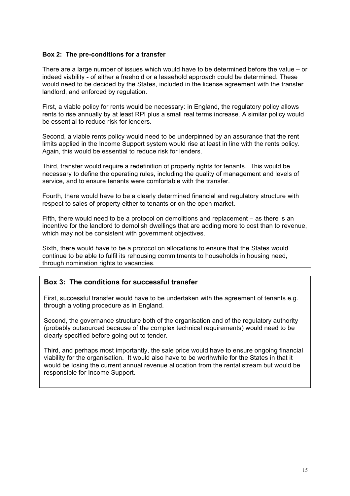### **Box 2: The pre-conditions for a transfer**

There are a large number of issues which would have to be determined before the value – or indeed viability - of either a freehold or a leasehold approach could be determined. These would need to be decided by the States, included in the license agreement with the transfer landlord, and enforced by regulation.

First, a viable policy for rents would be necessary: in England, the regulatory policy allows rents to rise annually by at least RPI plus a small real terms increase. A similar policy would be essential to reduce risk for lenders.

Second, a viable rents policy would need to be underpinned by an assurance that the rent limits applied in the Income Support system would rise at least in line with the rents policy. Again, this would be essential to reduce risk for lenders.

Third, transfer would require a redefinition of property rights for tenants. This would be necessary to define the operating rules, including the quality of management and levels of service, and to ensure tenants were comfortable with the transfer.

Fourth, there would have to be a clearly determined financial and regulatory structure with respect to sales of property either to tenants or on the open market.

Fifth, there would need to be a protocol on demolitions and replacement – as there is an incentive for the landlord to demolish dwellings that are adding more to cost than to revenue, which may not be consistent with government objectives.

Sixth, there would have to be a protocol on allocations to ensure that the States would continue to be able to fulfil its rehousing commitments to households in housing need, through nomination rights to vacancies.

# **Box 3: The conditions for successful transfer**

First, successful transfer would have to be undertaken with the agreement of tenants e.g. through a voting procedure as in England.

Second, the governance structure both of the organisation and of the regulatory authority (probably outsourced because of the complex technical requirements) would need to be clearly specified before going out to tender.

Third, and perhaps most importantly, the sale price would have to ensure ongoing financial viability for the organisation. It would also have to be worthwhile for the States in that it would be losing the current annual revenue allocation from the rental stream but would be responsible for Income Support.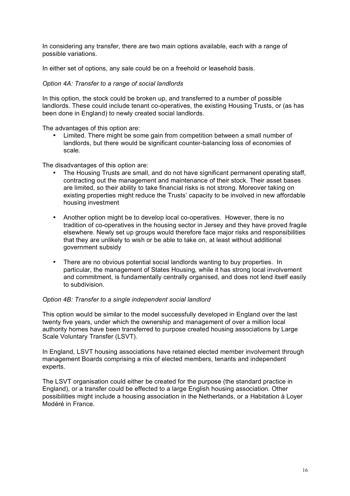In considering any transfer, there are two main options available, each with a range of possible variations.

In either set of options, any sale could be on a freehold or leasehold basis.

### *Option 4A: Transfer to a range of social landlords*

In this option, the stock could be broken up, and transferred to a number of possible landlords. These could include tenant co-operatives, the existing Housing Trusts, or (as has been done in England) to newly created social landlords.

The advantages of this option are:

• Limited. There might be some gain from competition between a small number of landlords, but there would be significant counter-balancing loss of economies of scale.

The disadvantages of this option are:

- The Housing Trusts are small, and do not have significant permanent operating staff, contracting out the management and maintenance of their stock. Their asset bases are limited, so their ability to take financial risks is not strong. Moreover taking on existing properties might reduce the Trusts' capacity to be involved in new affordable housing investment
- Another option might be to develop local co-operatives. However, there is no tradition of co-operatives in the housing sector in Jersey and they have proved fragile elsewhere. Newly set up groups would therefore face major risks and responsibilities that they are unlikely to wish or be able to take on, at least without additional government subsidy
- There are no obvious potential social landlords wanting to buy properties. In particular, the management of States Housing, while it has strong local involvement and commitment, is fundamentally centrally organised, and does not lend itself easily to subdivision.

#### *Option 4B: Transfer to a single independent social landlord*

This option would be similar to the model successfully developed in England over the last twenty five years, under which the ownership and management of over a million local authority homes have been transferred to purpose created housing associations by Large Scale Voluntary Transfer (LSVT).

In England, LSVT housing associations have retained elected member involvement through management Boards comprising a mix of elected members, tenants and independent experts.

The LSVT organisation could either be created for the purpose (the standard practice in England), or a transfer could be effected to a large English housing association. Other possibilities might include a housing association in the Netherlands, or a Habitation à Loyer Modéré in France.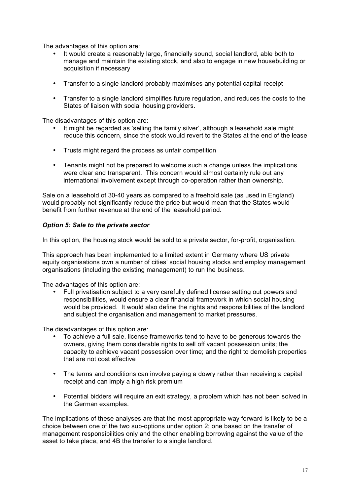The advantages of this option are:

- It would create a reasonably large, financially sound, social landlord, able both to manage and maintain the existing stock, and also to engage in new housebuilding or acquisition if necessary
- Transfer to a single landlord probably maximises any potential capital receipt
- Transfer to a single landlord simplifies future regulation, and reduces the costs to the States of liaison with social housing providers.

The disadvantages of this option are:

- It might be regarded as 'selling the family silver', although a leasehold sale might reduce this concern, since the stock would revert to the States at the end of the lease
- Trusts might regard the process as unfair competition
- Tenants might not be prepared to welcome such a change unless the implications were clear and transparent. This concern would almost certainly rule out any international involvement except through co-operation rather than ownership.

Sale on a leasehold of 30-40 years as compared to a freehold sale (as used in England) would probably not significantly reduce the price but would mean that the States would benefit from further revenue at the end of the leasehold period.

#### *Option 5: Sale to the private sector*

In this option, the housing stock would be sold to a private sector, for-profit, organisation.

This approach has been implemented to a limited extent in Germany where US private equity organisations own a number of cities' social housing stocks and employ management organisations (including the existing management) to run the business.

The advantages of this option are:

• Full privatisation subject to a very carefully defined license setting out powers and responsibilities, would ensure a clear financial framework in which social housing would be provided. It would also define the rights and responsibilities of the landlord and subject the organisation and management to market pressures.

The disadvantages of this option are:

- To achieve a full sale, license frameworks tend to have to be generous towards the owners, giving them considerable rights to sell off vacant possession units; the capacity to achieve vacant possession over time; and the right to demolish properties that are not cost effective
- The terms and conditions can involve paying a dowry rather than receiving a capital receipt and can imply a high risk premium
- Potential bidders will require an exit strategy, a problem which has not been solved in the German examples.

The implications of these analyses are that the most appropriate way forward is likely to be a choice between one of the two sub-options under option 2; one based on the transfer of management responsibilities only and the other enabling borrowing against the value of the asset to take place, and 4B the transfer to a single landlord.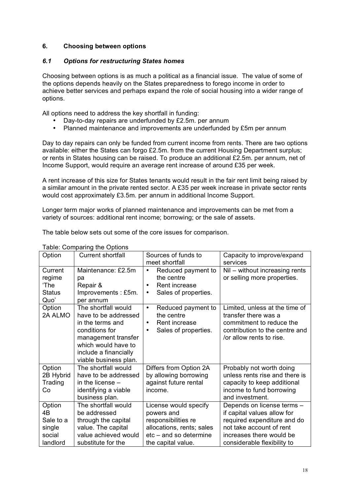### **6. Choosing between options**

### *6.1 Options for restructuring States homes*

Choosing between options is as much a political as a financial issue. The value of some of the options depends heavily on the States preparedness to forego income in order to achieve better services and perhaps expand the role of social housing into a wider range of options.

All options need to address the key shortfall in funding:

- Day-to-day repairs are underfunded by £2.5m, per annum<br>• Planned maintenance and improvements are underfunded
- Planned maintenance and improvements are underfunded by £5m per annum

Day to day repairs can only be funded from current income from rents. There are two options available: either the States can forgo £2.5m. from the current Housing Department surplus; or rents in States housing can be raised. To produce an additional £2.5m. per annum, net of Income Support, would require an average rent increase of around £35 per week.

A rent increase of this size for States tenants would result in the fair rent limit being raised by a similar amount in the private rented sector. A £35 per week increase in private sector rents would cost approximately £3.5m. per annum in additional Income Support.

Longer term major works of planned maintenance and improvements can be met from a variety of sources: additional rent income; borrowing; or the sale of assets.

The table below sets out some of the core issues for comparison.

| Option            | - - - - - - -<br><b>Current shortfall</b>   | Sources of funds to                           | Capacity to improve/expand                             |
|-------------------|---------------------------------------------|-----------------------------------------------|--------------------------------------------------------|
|                   |                                             | meet shortfall                                | services                                               |
| Current           | Maintenance: £2.5m                          | Reduced payment to<br>$\bullet$               | Nil - without increasing rents                         |
| regime            | рa                                          | the centre                                    | or selling more properties.                            |
| 'The              | Repair &                                    | Rent increase<br>$\bullet$                    |                                                        |
| <b>Status</b>     | Improvements: £5m.                          | Sales of properties.<br>٠                     |                                                        |
| Quo'              | per annum                                   |                                               |                                                        |
| Option<br>2A ALMO | The shortfall would<br>have to be addressed | Reduced payment to<br>$\bullet$<br>the centre | Limited, unless at the time of<br>transfer there was a |
|                   | in the terms and                            | Rent increase<br>$\bullet$                    | commitment to reduce the                               |
|                   | conditions for                              | Sales of properties.<br>$\bullet$             | contribution to the centre and                         |
|                   | management transfer                         |                                               | /or allow rents to rise.                               |
|                   | which would have to                         |                                               |                                                        |
|                   | include a financially                       |                                               |                                                        |
|                   | viable business plan.                       |                                               |                                                        |
| Option            | The shortfall would                         | Differs from Option 2A                        | Probably not worth doing                               |
| 2B Hybrid         | have to be addressed                        | by allowing borrowing                         | unless rents rise and there is                         |
| Trading           | in the license $-$                          | against future rental                         | capacity to keep additional                            |
| Co                | identifying a viable                        | income.                                       | income to fund borrowing                               |
|                   | business plan.                              |                                               | and investment.                                        |
| Option            | The shortfall would                         | License would specify                         | Depends on license terms -                             |
| 4B                | be addressed                                | powers and                                    | if capital values allow for                            |
| Sale to a         | through the capital                         | responsibilities re                           | required expenditure and do                            |
| single            | value. The capital                          | allocations, rents; sales                     | not take account of rent                               |
| social            | value achieved would                        | $etc - and so determine$                      | increases there would be                               |
| landlord          | substitute for the                          | the capital value.                            | considerable flexibility to                            |

Table: Comparing the Options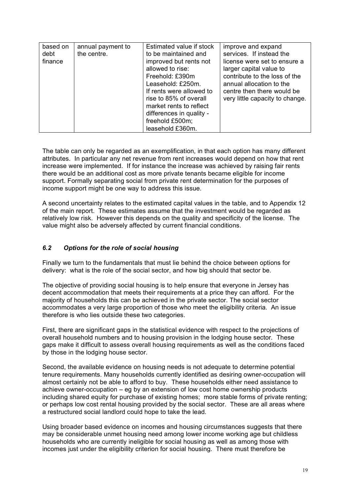| based on<br>debt<br>finance | annual payment to<br>the centre. | Estimated value if stock<br>to be maintained and<br>improved but rents not<br>allowed to rise:<br>Freehold: £390m<br>Leasehold: £250m.<br>If rents were allowed to<br>rise to 85% of overall<br>market rents to reflect | improve and expand<br>services. If instead the<br>license were set to ensure a<br>larger capital value to<br>contribute to the loss of the<br>annual allocation to the<br>centre then there would be<br>very little capacity to change. |
|-----------------------------|----------------------------------|-------------------------------------------------------------------------------------------------------------------------------------------------------------------------------------------------------------------------|-----------------------------------------------------------------------------------------------------------------------------------------------------------------------------------------------------------------------------------------|
|                             |                                  |                                                                                                                                                                                                                         |                                                                                                                                                                                                                                         |
|                             |                                  | differences in quality -                                                                                                                                                                                                |                                                                                                                                                                                                                                         |
|                             |                                  | freehold £500m;                                                                                                                                                                                                         |                                                                                                                                                                                                                                         |
|                             |                                  | leasehold £360m.                                                                                                                                                                                                        |                                                                                                                                                                                                                                         |

The table can only be regarded as an exemplification, in that each option has many different attributes. In particular any net revenue from rent increases would depend on how that rent increase were implemented. If for instance the increase was achieved by raising fair rents there would be an additional cost as more private tenants became eligible for income support. Formally separating social from private rent determination for the purposes of income support might be one way to address this issue.

A second uncertainty relates to the estimated capital values in the table, and to Appendix 12 of the main report. These estimates assume that the investment would be regarded as relatively low risk. However this depends on the quality and specificity of the license. The value might also be adversely affected by current financial conditions.

# *6.2 Options for the role of social housing*

Finally we turn to the fundamentals that must lie behind the choice between options for delivery: what is the role of the social sector, and how big should that sector be.

The objective of providing social housing is to help ensure that everyone in Jersey has decent accommodation that meets their requirements at a price they can afford. For the majority of households this can be achieved in the private sector. The social sector accommodates a very large proportion of those who meet the eligibility criteria. An issue therefore is who lies outside these two categories.

First, there are significant gaps in the statistical evidence with respect to the projections of overall household numbers and to housing provision in the lodging house sector. These gaps make it difficult to assess overall housing requirements as well as the conditions faced by those in the lodging house sector.

Second, the available evidence on housing needs is not adequate to determine potential tenure requirements. Many households currently identified as desiring owner-occupation will almost certainly not be able to afford to buy. These households either need assistance to achieve owner-occupation – eg by an extension of low cost home ownership products including shared equity for purchase of existing homes; more stable forms of private renting; or perhaps low cost rental housing provided by the social sector. These are all areas where a restructured social landlord could hope to take the lead.

Using broader based evidence on incomes and housing circumstances suggests that there may be considerable unmet housing need among lower income working age but childless households who are currently ineligible for social housing as well as among those with incomes just under the eligibility criterion for social housing. There must therefore be